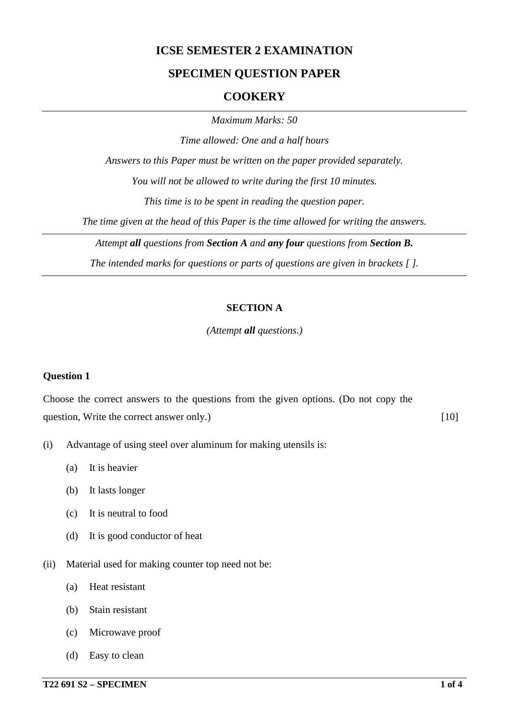# **ICSE SEMESTER 2 EXAMINATION**

### **SPECIMEN QUESTION PAPER**

#### **COOKERY**

*Maximum Marks: 50*

*Time allowed: One and a half hours*

*Answers to this Paper must be written on the paper provided separately.*

*You will not be allowed to write during the first 10 minutes.*

*This time is to be spent in reading the question paper.*

*The time given at the head of this Paper is the time allowed for writing the answers.*

*Attempt all questions from Section A and any four questions from Section B.*

*The intended marks for questions or parts of questions are given in brackets [ ].*

#### **SECTION A**

*(Attempt all questions.)*

#### **Question 1**

Choose the correct answers to the questions from the given options. (Do not copy the question, Write the correct answer only.) [10]

- (i) Advantage of using steel over aluminum for making utensils is:
	- (a) It is heavier
	- (b) It lasts longer
	- (c) It is neutral to food
	- (d) It is good conductor of heat
- (ii) Material used for making counter top need not be:
	- (a) Heat resistant
	- (b) Stain resistant
	- (c) Microwave proof
	- (d) Easy to clean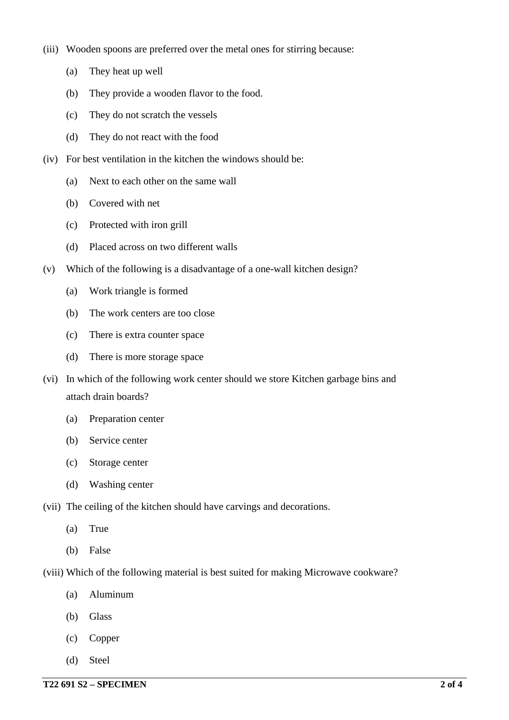- (iii) Wooden spoons are preferred over the metal ones for stirring because:
	- (a) They heat up well
	- (b) They provide a wooden flavor to the food.
	- (c) They do not scratch the vessels
	- (d) They do not react with the food
- (iv) For best ventilation in the kitchen the windows should be:
	- (a) Next to each other on the same wall
	- (b) Covered with net
	- (c) Protected with iron grill
	- (d) Placed across on two different walls
- (v) Which of the following is a disadvantage of a one-wall kitchen design?
	- (a) Work triangle is formed
	- (b) The work centers are too close
	- (c) There is extra counter space
	- (d) There is more storage space
- (vi) In which of the following work center should we store Kitchen garbage bins and attach drain boards?
	- (a) Preparation center
	- (b) Service center
	- (c) Storage center
	- (d) Washing center
- (vii) The ceiling of the kitchen should have carvings and decorations.
	- (a) True
	- (b) False
- (viii) Which of the following material is best suited for making Microwave cookware?
	- (a) Aluminum
	- (b) Glass
	- (c) Copper
	- (d) Steel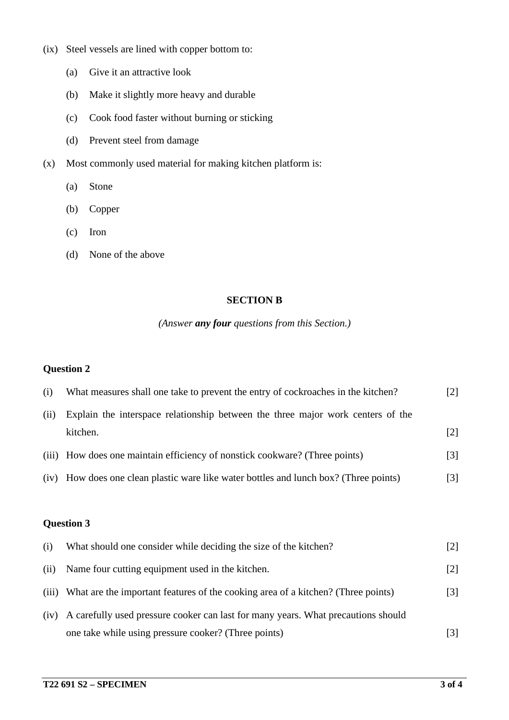- (ix) Steel vessels are lined with copper bottom to:
	- (a) Give it an attractive look
	- (b) Make it slightly more heavy and durable
	- (c) Cook food faster without burning or sticking
	- (d) Prevent steel from damage
- (x) Most commonly used material for making kitchen platform is:
	- (a) Stone
	- (b) Copper
	- (c) Iron
	- (d) None of the above

### **SECTION B**

## *(Answer any four questions from this Section.)*

### **Question 2**

| (i)  | What measures shall one take to prevent the entry of cockroaches in the kitchen? | $\lceil 2 \rceil$ |
|------|----------------------------------------------------------------------------------|-------------------|
| (ii) | Explain the interspace relationship between the three major work centers of the  |                   |
|      | kitchen.                                                                         | $\lceil 2 \rceil$ |
|      | (iii) How does one maintain efficiency of nonstick cookware? (Three points)      | [3]               |
| (iv) | How does one clean plastic ware like water bottles and lunch box? (Three points) | [3]               |

## **Question 3**

| (i)   | What should one consider while deciding the size of the kitchen?                  |       |
|-------|-----------------------------------------------------------------------------------|-------|
| (ii)  | Name four cutting equipment used in the kitchen.                                  | $[2]$ |
| (iii) | What are the important features of the cooking area of a kitchen? (Three points)  | $[3]$ |
| (iv)  | A carefully used pressure cooker can last for many years. What precautions should |       |
|       | one take while using pressure cooker? (Three points)                              |       |